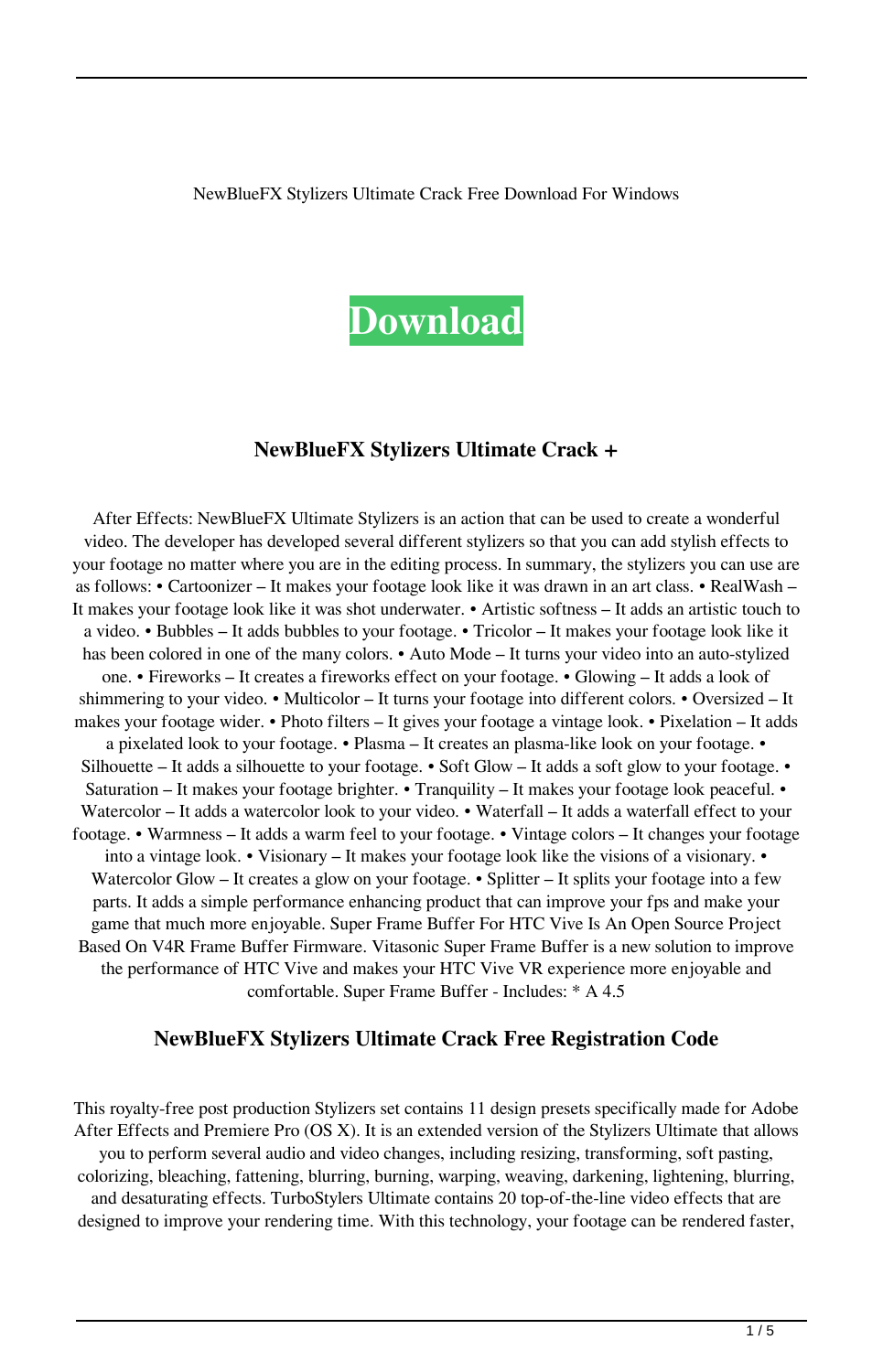#### NewBlueFX Stylizers Ultimate Crack Free Download For Windows



### **NewBlueFX Stylizers Ultimate Crack +**

After Effects: NewBlueFX Ultimate Stylizers is an action that can be used to create a wonderful video. The developer has developed several different stylizers so that you can add stylish effects to your footage no matter where you are in the editing process. In summary, the stylizers you can use are as follows: • Cartoonizer – It makes your footage look like it was drawn in an art class. • RealWash – It makes your footage look like it was shot underwater. • Artistic softness – It adds an artistic touch to a video. • Bubbles – It adds bubbles to your footage. • Tricolor – It makes your footage look like it has been colored in one of the many colors. • Auto Mode – It turns your video into an auto-stylized one. • Fireworks – It creates a fireworks effect on your footage. • Glowing – It adds a look of shimmering to your video. • Multicolor – It turns your footage into different colors. • Oversized – It makes your footage wider. • Photo filters – It gives your footage a vintage look. • Pixelation – It adds a pixelated look to your footage. • Plasma – It creates an plasma-like look on your footage. • Silhouette – It adds a silhouette to your footage. • Soft Glow – It adds a soft glow to your footage. • Saturation – It makes your footage brighter. • Tranquility – It makes your footage look peaceful. • Watercolor – It adds a watercolor look to your video. • Waterfall – It adds a waterfall effect to your footage. • Warmness – It adds a warm feel to your footage. • Vintage colors – It changes your footage into a vintage look. • Visionary – It makes your footage look like the visions of a visionary. • Watercolor Glow – It creates a glow on your footage. • Splitter – It splits your footage into a few parts. It adds a simple performance enhancing product that can improve your fps and make your game that much more enjoyable. Super Frame Buffer For HTC Vive Is An Open Source Project Based On V4R Frame Buffer Firmware. Vitasonic Super Frame Buffer is a new solution to improve the performance of HTC Vive and makes your HTC Vive VR experience more enjoyable and comfortable. Super Frame Buffer - Includes: \* A 4.5

### **NewBlueFX Stylizers Ultimate Crack Free Registration Code**

This royalty-free post production Stylizers set contains 11 design presets specifically made for Adobe After Effects and Premiere Pro (OS X). It is an extended version of the Stylizers Ultimate that allows you to perform several audio and video changes, including resizing, transforming, soft pasting, colorizing, bleaching, fattening, blurring, burning, warping, weaving, darkening, lightening, blurring, and desaturating effects. TurboStylers Ultimate contains 20 top-of-the-line video effects that are designed to improve your rendering time. With this technology, your footage can be rendered faster,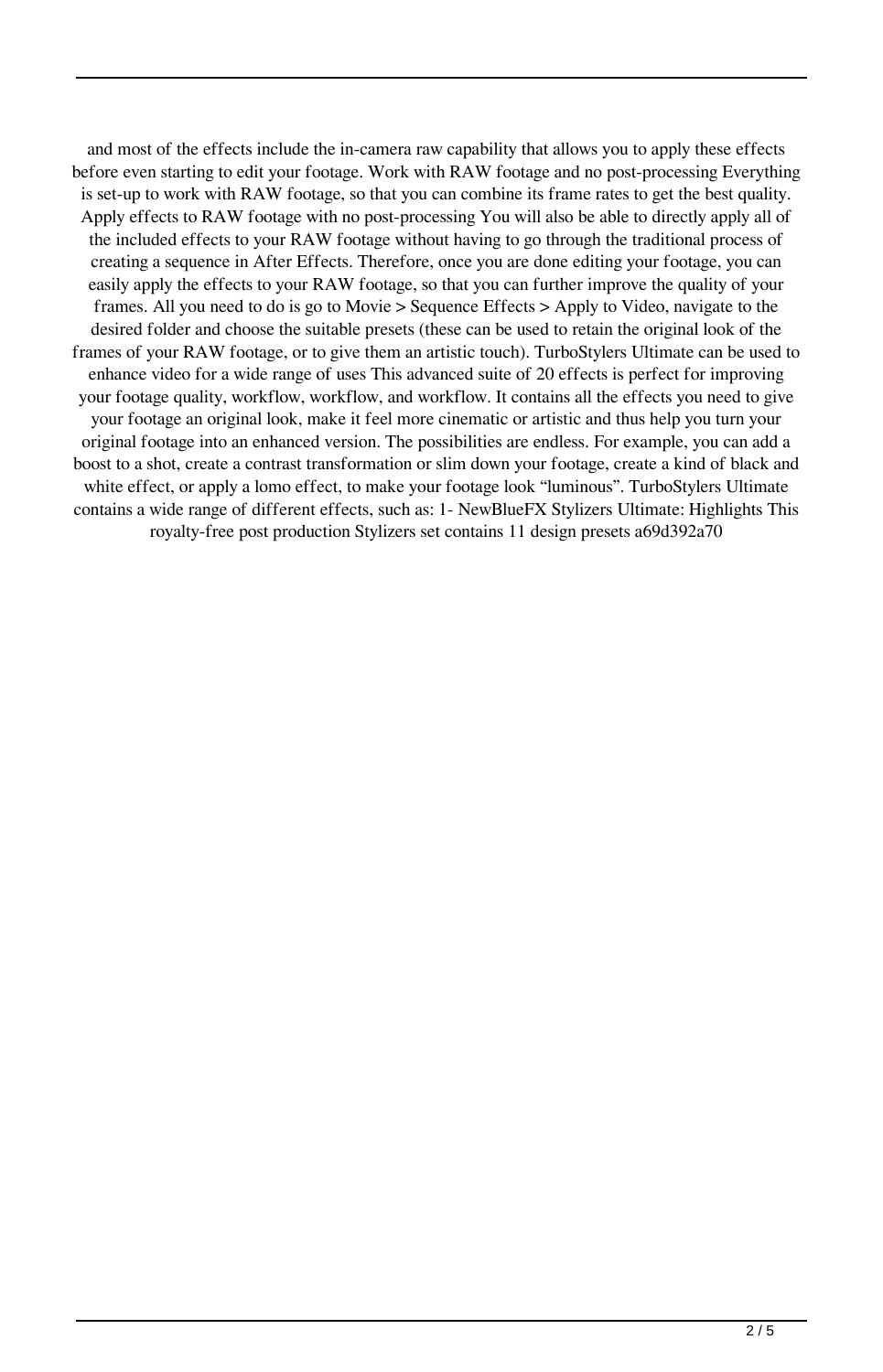and most of the effects include the in-camera raw capability that allows you to apply these effects before even starting to edit your footage. Work with RAW footage and no post-processing Everything is set-up to work with RAW footage, so that you can combine its frame rates to get the best quality. Apply effects to RAW footage with no post-processing You will also be able to directly apply all of the included effects to your RAW footage without having to go through the traditional process of creating a sequence in After Effects. Therefore, once you are done editing your footage, you can easily apply the effects to your RAW footage, so that you can further improve the quality of your frames. All you need to do is go to Movie > Sequence Effects > Apply to Video, navigate to the desired folder and choose the suitable presets (these can be used to retain the original look of the frames of your RAW footage, or to give them an artistic touch). TurboStylers Ultimate can be used to enhance video for a wide range of uses This advanced suite of 20 effects is perfect for improving your footage quality, workflow, workflow, and workflow. It contains all the effects you need to give your footage an original look, make it feel more cinematic or artistic and thus help you turn your original footage into an enhanced version. The possibilities are endless. For example, you can add a boost to a shot, create a contrast transformation or slim down your footage, create a kind of black and white effect, or apply a lomo effect, to make your footage look "luminous". TurboStylers Ultimate contains a wide range of different effects, such as: 1- NewBlueFX Stylizers Ultimate: Highlights This royalty-free post production Stylizers set contains 11 design presets a69d392a70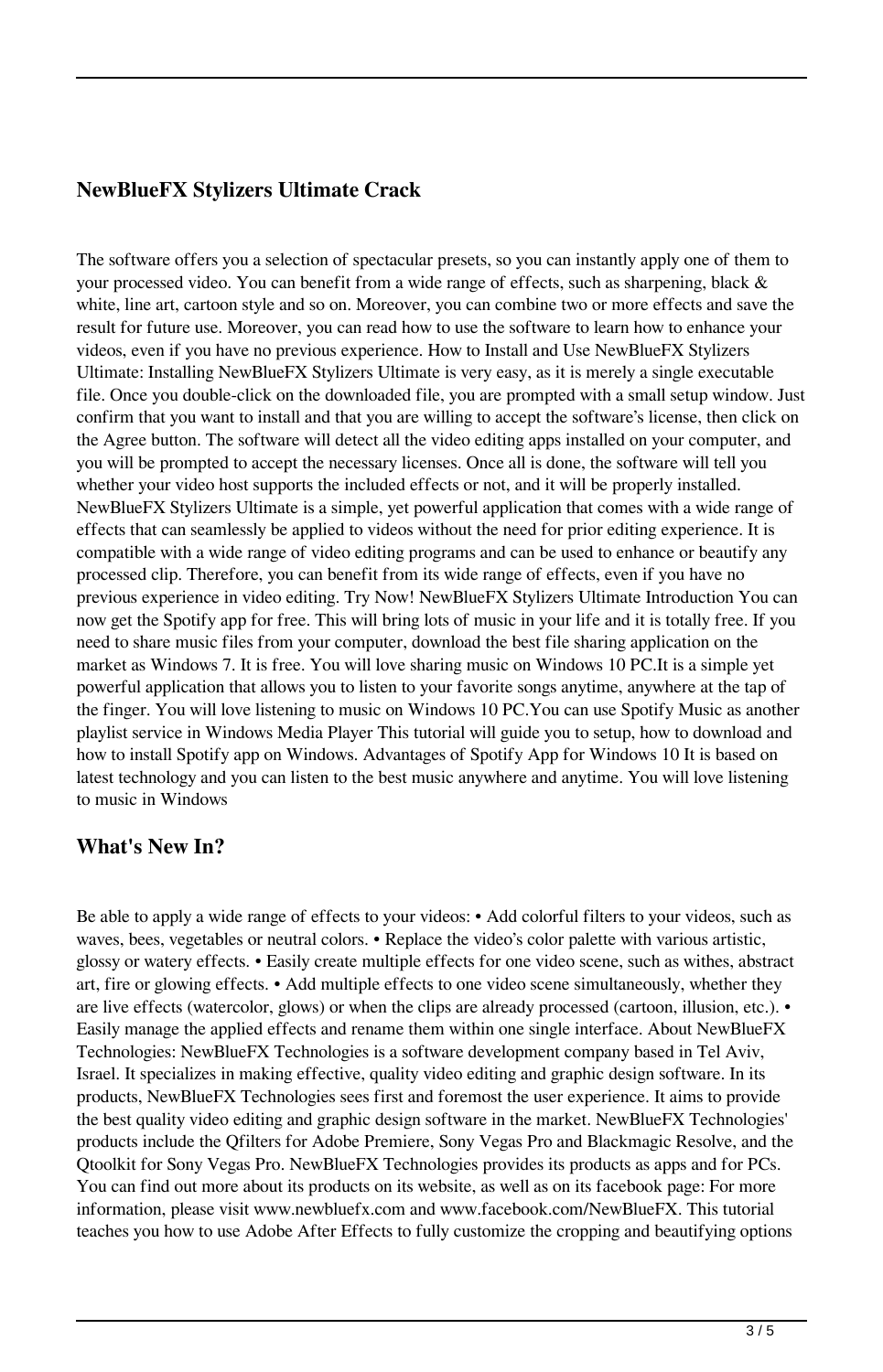## **NewBlueFX Stylizers Ultimate Crack**

The software offers you a selection of spectacular presets, so you can instantly apply one of them to your processed video. You can benefit from a wide range of effects, such as sharpening, black & white, line art, cartoon style and so on. Moreover, you can combine two or more effects and save the result for future use. Moreover, you can read how to use the software to learn how to enhance your videos, even if you have no previous experience. How to Install and Use NewBlueFX Stylizers Ultimate: Installing NewBlueFX Stylizers Ultimate is very easy, as it is merely a single executable file. Once you double-click on the downloaded file, you are prompted with a small setup window. Just confirm that you want to install and that you are willing to accept the software's license, then click on the Agree button. The software will detect all the video editing apps installed on your computer, and you will be prompted to accept the necessary licenses. Once all is done, the software will tell you whether your video host supports the included effects or not, and it will be properly installed. NewBlueFX Stylizers Ultimate is a simple, yet powerful application that comes with a wide range of effects that can seamlessly be applied to videos without the need for prior editing experience. It is compatible with a wide range of video editing programs and can be used to enhance or beautify any processed clip. Therefore, you can benefit from its wide range of effects, even if you have no previous experience in video editing. Try Now! NewBlueFX Stylizers Ultimate Introduction You can now get the Spotify app for free. This will bring lots of music in your life and it is totally free. If you need to share music files from your computer, download the best file sharing application on the market as Windows 7. It is free. You will love sharing music on Windows 10 PC.It is a simple yet powerful application that allows you to listen to your favorite songs anytime, anywhere at the tap of the finger. You will love listening to music on Windows 10 PC.You can use Spotify Music as another playlist service in Windows Media Player This tutorial will guide you to setup, how to download and how to install Spotify app on Windows. Advantages of Spotify App for Windows 10 It is based on latest technology and you can listen to the best music anywhere and anytime. You will love listening to music in Windows

### **What's New In?**

Be able to apply a wide range of effects to your videos: • Add colorful filters to your videos, such as waves, bees, vegetables or neutral colors. • Replace the video's color palette with various artistic, glossy or watery effects. • Easily create multiple effects for one video scene, such as withes, abstract art, fire or glowing effects. • Add multiple effects to one video scene simultaneously, whether they are live effects (watercolor, glows) or when the clips are already processed (cartoon, illusion, etc.). • Easily manage the applied effects and rename them within one single interface. About NewBlueFX Technologies: NewBlueFX Technologies is a software development company based in Tel Aviv, Israel. It specializes in making effective, quality video editing and graphic design software. In its products, NewBlueFX Technologies sees first and foremost the user experience. It aims to provide the best quality video editing and graphic design software in the market. NewBlueFX Technologies' products include the Qfilters for Adobe Premiere, Sony Vegas Pro and Blackmagic Resolve, and the Qtoolkit for Sony Vegas Pro. NewBlueFX Technologies provides its products as apps and for PCs. You can find out more about its products on its website, as well as on its facebook page: For more information, please visit www.newbluefx.com and www.facebook.com/NewBlueFX. This tutorial teaches you how to use Adobe After Effects to fully customize the cropping and beautifying options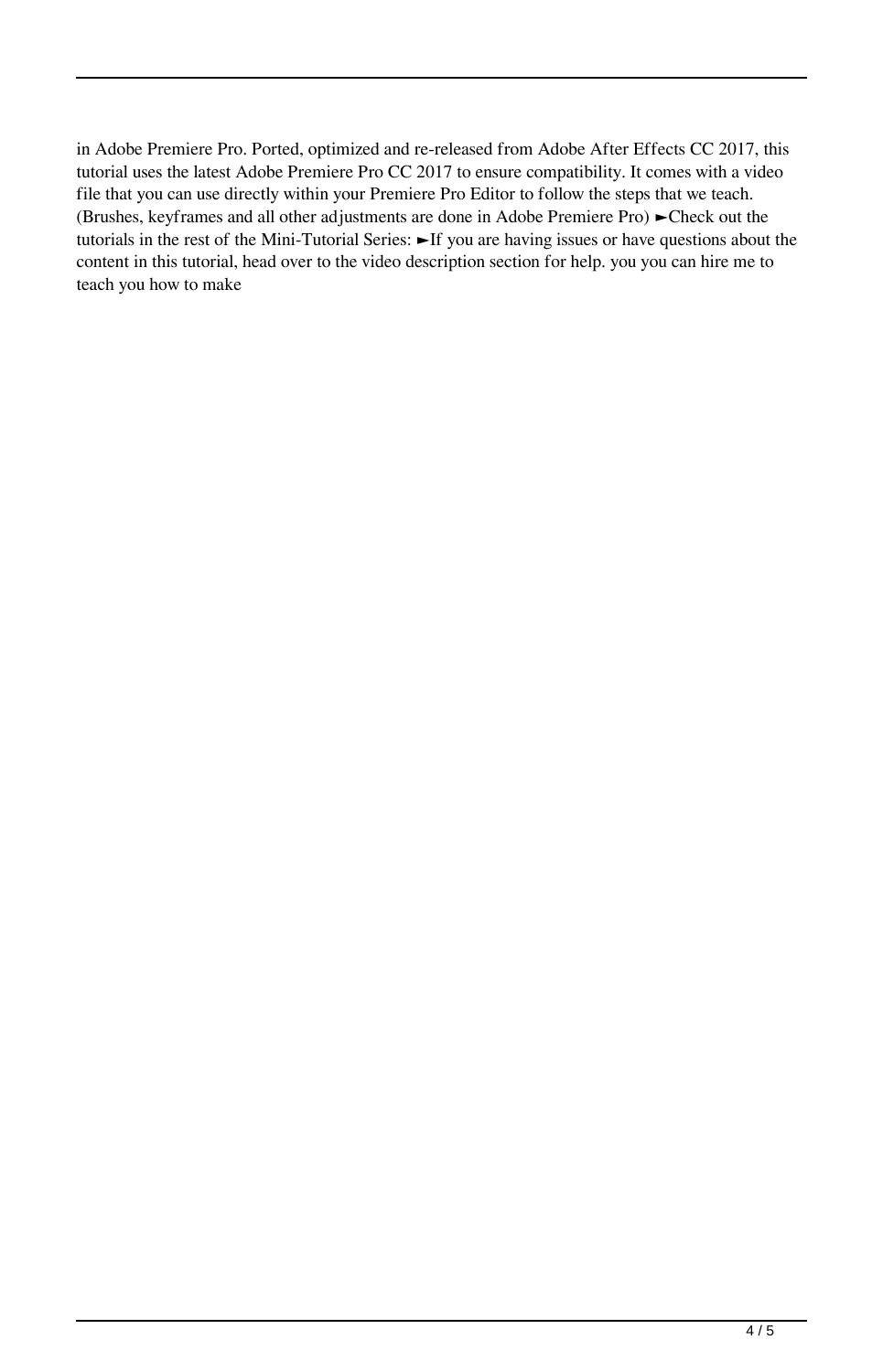in Adobe Premiere Pro. Ported, optimized and re-released from Adobe After Effects CC 2017, this tutorial uses the latest Adobe Premiere Pro CC 2017 to ensure compatibility. It comes with a video file that you can use directly within your Premiere Pro Editor to follow the steps that we teach. (Brushes, keyframes and all other adjustments are done in Adobe Premiere Pro) ►Check out the tutorials in the rest of the Mini-Tutorial Series: ►If you are having issues or have questions about the content in this tutorial, head over to the video description section for help. you you can hire me to teach you how to make